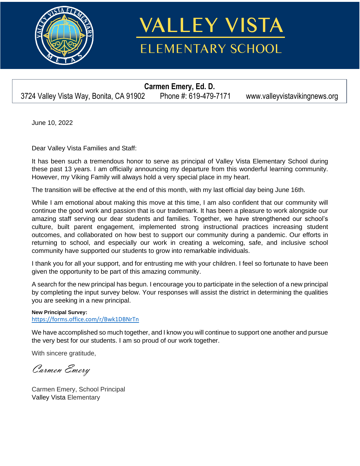

## **VALLEY VISTA ELEMENTARY SCHOOL**

**Carmen Emery, Ed. D.**  3724 Valley Vista Way, Bonita, CA 91902 Phone #: 619-479-7171 www.valleyvistavikingnews.org

June 10, 2022

Dear Valley Vista Families and Staff:

It has been such a tremendous honor to serve as principal of Valley Vista Elementary School during these past 13 years. I am officially announcing my departure from this wonderful learning community. However, my Viking Family will always hold a very special place in my heart.

The transition will be effective at the end of this month, with my last official day being June 16th.

While I am emotional about making this move at this time, I am also confident that our community will continue the good work and passion that is our trademark. It has been a pleasure to work alongside our amazing staff serving our dear students and families. Together, we have strengthened our school's culture, built parent engagement, implemented strong instructional practices increasing student outcomes, and collaborated on how best to support our community during a pandemic. Our efforts in returning to school, and especially our work in creating a welcoming, safe, and inclusive school community have supported our students to grow into remarkable individuals.

I thank you for all your support, and for entrusting me with your children. I feel so fortunate to have been given the opportunity to be part of this amazing community.

A search for the new principal has begun. I encourage you to participate in the selection of a new principal by completing the input survey below. Your responses will assist the district in determining the qualities you are seeking in a new principal.

**New Principal Survey:** <https://forms.office.com/r/Bwk1DBNrTn>

We have accomplished so much together, and I know you will continue to support one another and pursue the very best for our students. I am so proud of our work together.

With sincere gratitude,

Carmen Emery

Carmen Emery, School Principal Valley Vista Elementary